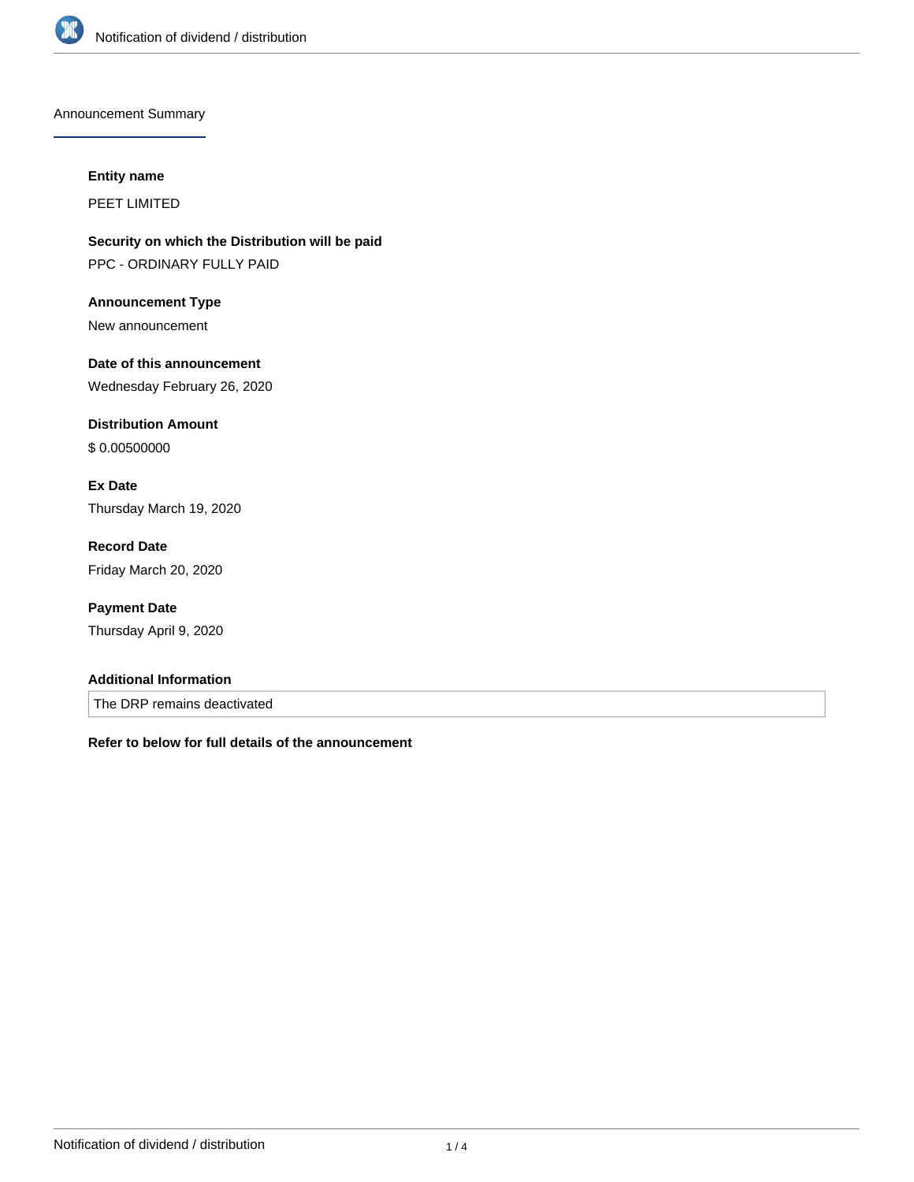

Announcement Summary

#### **Entity name**

PEET LIMITED

**Security on which the Distribution will be paid** PPC - ORDINARY FULLY PAID

**Announcement Type** New announcement

**Date of this announcement** Wednesday February 26, 2020

**Distribution Amount** \$ 0.00500000

**Ex Date** Thursday March 19, 2020

**Record Date** Friday March 20, 2020

**Payment Date** Thursday April 9, 2020

### **Additional Information**

The DRP remains deactivated

**Refer to below for full details of the announcement**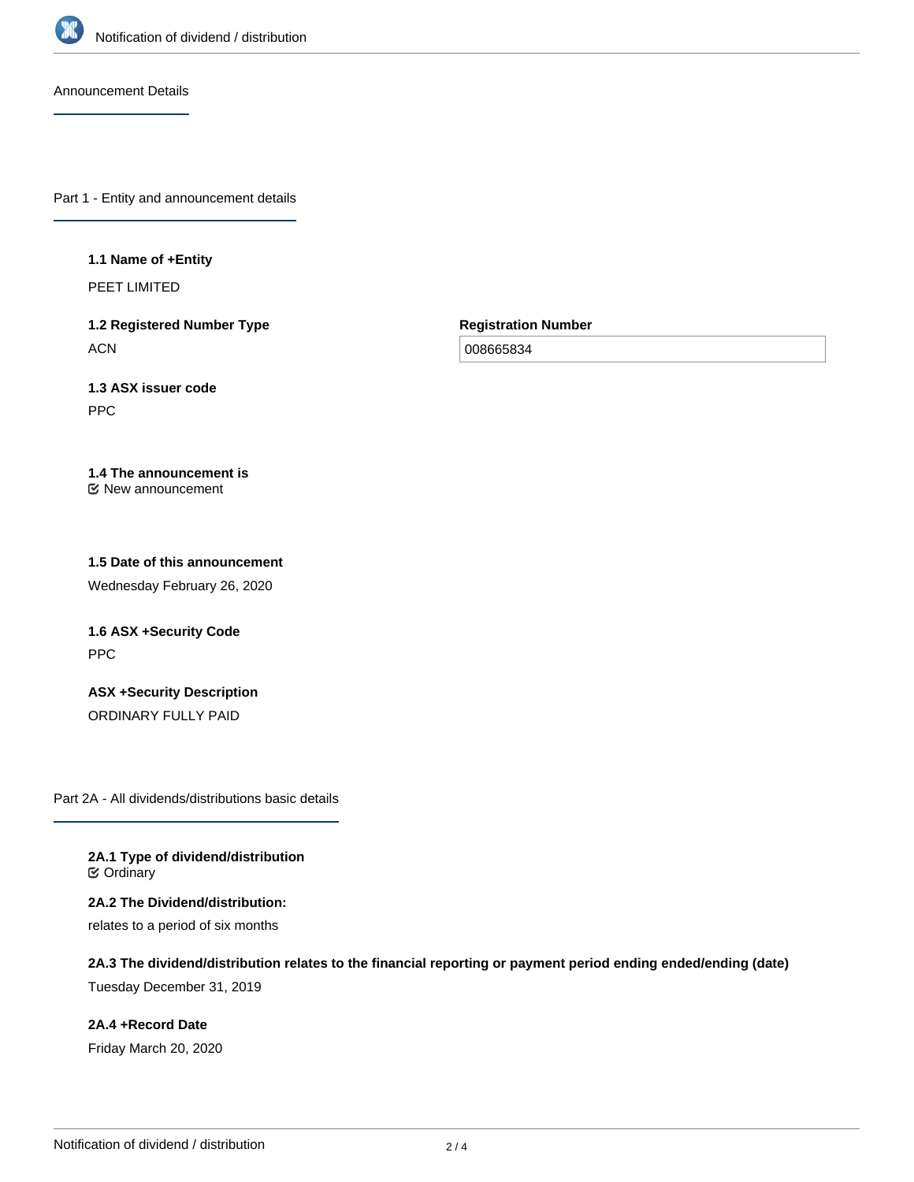

Announcement Details

Part 1 - Entity and announcement details

#### **1.1 Name of +Entity**

PEET LIMITED

**1.2 Registered Number Type ACN** 

**Registration Number**

008665834

**1.3 ASX issuer code** PPC

**1.4 The announcement is** New announcement

**1.5 Date of this announcement**

Wednesday February 26, 2020

**1.6 ASX +Security Code** PPC

**ASX +Security Description** ORDINARY FULLY PAID

Part 2A - All dividends/distributions basic details

**2A.1 Type of dividend/distribution ⊘** Ordinary

**2A.2 The Dividend/distribution:** relates to a period of six months

**2A.3 The dividend/distribution relates to the financial reporting or payment period ending ended/ending (date)** Tuesday December 31, 2019

**2A.4 +Record Date** Friday March 20, 2020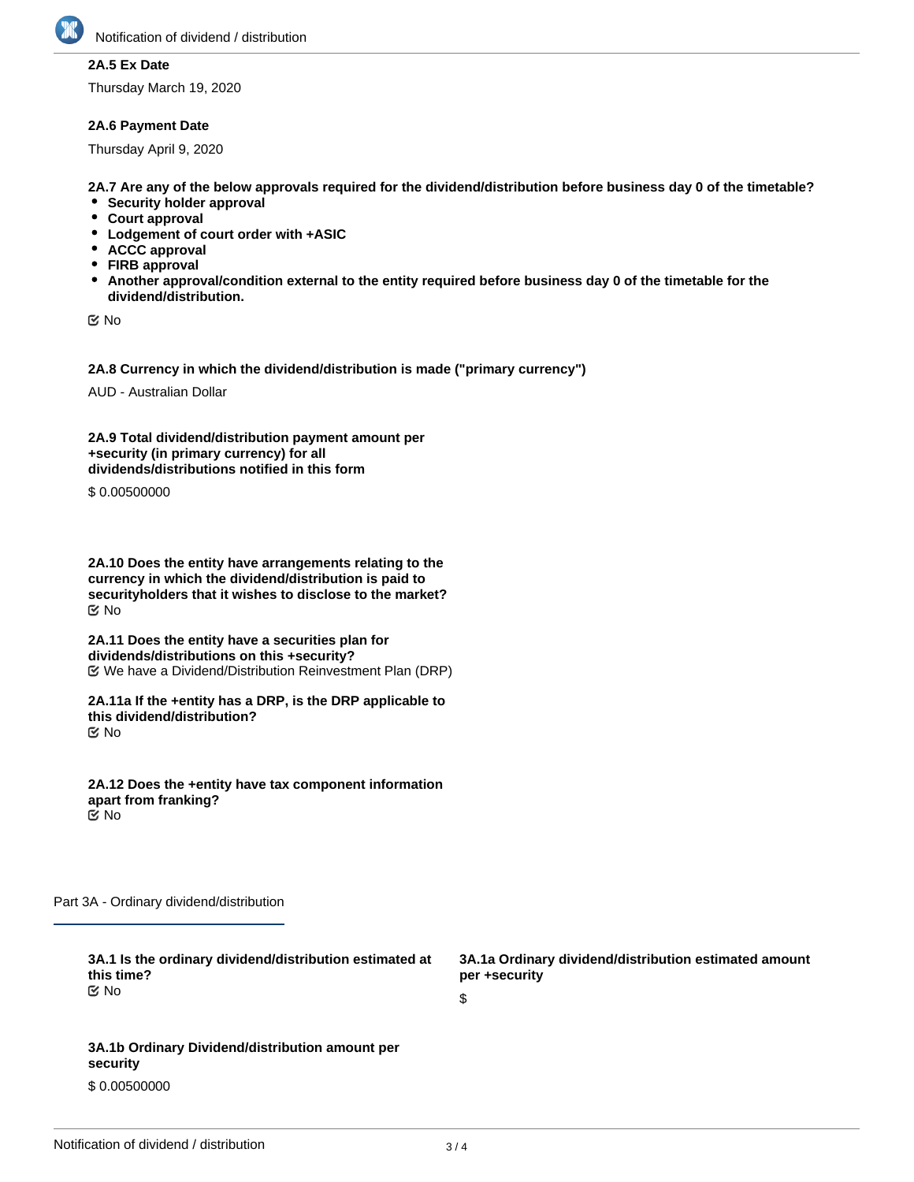

### **2A.5 Ex Date**

Thursday March 19, 2020

### **2A.6 Payment Date**

Thursday April 9, 2020

**2A.7 Are any of the below approvals required for the dividend/distribution before business day 0 of the timetable?**

- **•** Security holder approval
- **Court approval**
- **Lodgement of court order with +ASIC**
- **ACCC approval**
- **FIRB approval**
- **Another approval/condition external to the entity required before business day 0 of the timetable for the dividend/distribution.**

No

**2A.8 Currency in which the dividend/distribution is made ("primary currency")**

AUD - Australian Dollar

**2A.9 Total dividend/distribution payment amount per +security (in primary currency) for all dividends/distributions notified in this form**

\$ 0.00500000

**2A.10 Does the entity have arrangements relating to the currency in which the dividend/distribution is paid to securityholders that it wishes to disclose to the market?** No

**2A.11 Does the entity have a securities plan for dividends/distributions on this +security?** We have a Dividend/Distribution Reinvestment Plan (DRP)

**2A.11a If the +entity has a DRP, is the DRP applicable to this dividend/distribution?** No

**2A.12 Does the +entity have tax component information apart from franking?** No

Part 3A - Ordinary dividend/distribution

**3A.1 Is the ordinary dividend/distribution estimated at this time?** No

**3A.1b Ordinary Dividend/distribution amount per security**

\$ 0.00500000

**3A.1a Ordinary dividend/distribution estimated amount per +security**

\$